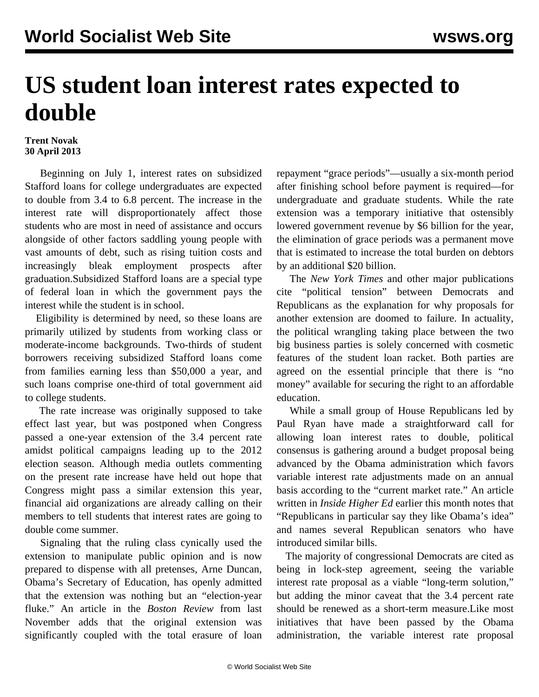## **US student loan interest rates expected to double**

## **Trent Novak 30 April 2013**

 Beginning on July 1, interest rates on subsidized Stafford loans for college undergraduates are expected to double from 3.4 to 6.8 percent. The increase in the interest rate will disproportionately affect those students who are most in need of assistance and occurs alongside of other factors saddling young people with vast amounts of debt, such as rising tuition costs and increasingly bleak employment prospects after graduation.Subsidized Stafford loans are a special type of federal loan in which the government pays the interest while the student is in school.

 Eligibility is determined by need, so these loans are primarily utilized by students from working class or moderate-income backgrounds. Two-thirds of student borrowers receiving subsidized Stafford loans come from families earning less than \$50,000 a year, and such loans comprise one-third of total government aid to college students.

 The rate increase was originally supposed to take effect last year, but was postponed when Congress passed a one-year extension of the 3.4 percent rate amidst political campaigns leading up to the 2012 election season. Although media outlets commenting on the present rate increase have held out hope that Congress might pass a similar extension this year, financial aid organizations are already calling on their members to tell students that interest rates are going to double come summer.

 Signaling that the ruling class cynically used the extension to manipulate public opinion and is now prepared to dispense with all pretenses, Arne Duncan, Obama's Secretary of Education, has openly admitted that the extension was nothing but an "election-year fluke." An article in the *Boston Review* from last November adds that the original extension was significantly coupled with the total erasure of loan repayment "grace periods"—usually a six-month period after finishing school before payment is required—for undergraduate and graduate students. While the rate extension was a temporary initiative that ostensibly lowered government revenue by \$6 billion for the year, the elimination of grace periods was a permanent move that is estimated to increase the total burden on debtors by an additional \$20 billion.

 The *New York Times* and other major publications cite "political tension" between Democrats and Republicans as the explanation for why proposals for another extension are doomed to failure. In actuality, the political wrangling taking place between the two big business parties is solely concerned with cosmetic features of the student loan racket. Both parties are agreed on the essential principle that there is "no money" available for securing the right to an affordable education.

 While a small group of House Republicans led by Paul Ryan have made a straightforward call for allowing loan interest rates to double, political consensus is gathering around a budget proposal being advanced by the Obama administration which favors variable interest rate adjustments made on an annual basis according to the "current market rate." An article written in *Inside Higher Ed* earlier this month notes that "Republicans in particular say they like Obama's idea" and names several Republican senators who have introduced similar bills.

 The majority of congressional Democrats are cited as being in lock-step agreement, seeing the variable interest rate proposal as a viable "long-term solution," but adding the minor caveat that the 3.4 percent rate should be renewed as a short-term measure.Like most initiatives that have been passed by the Obama administration, the variable interest rate proposal